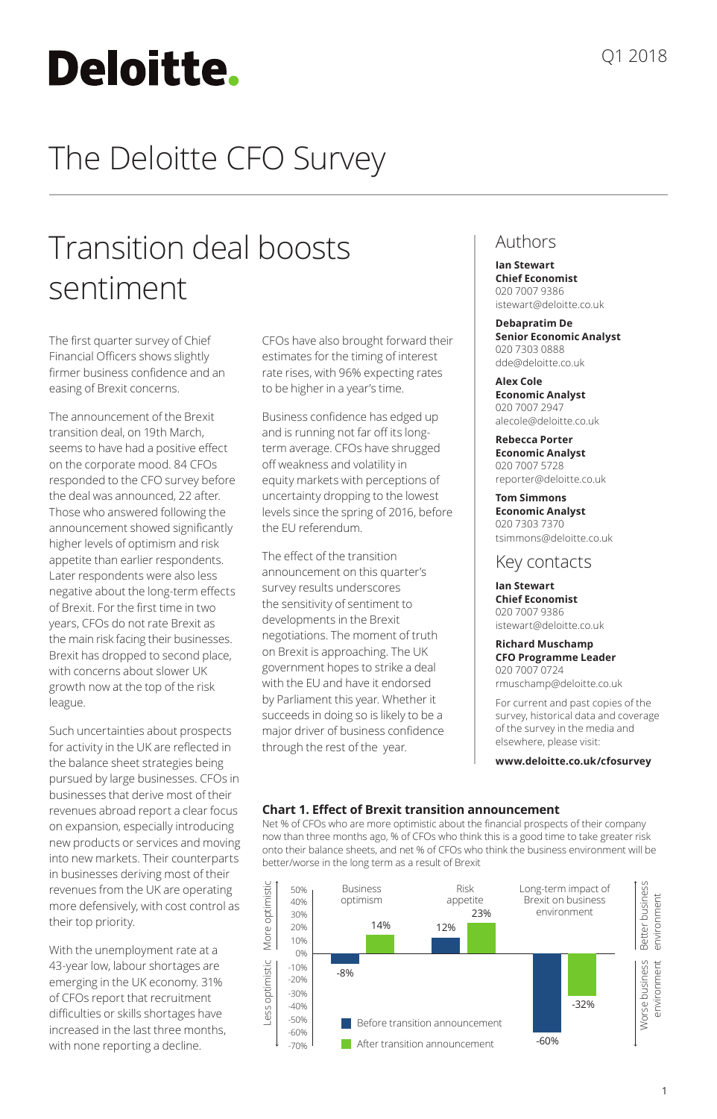# Deloitte.

# The Deloitte CFO Survey

## Transition deal boosts sentiment

The first quarter survey of Chief Financial Officers shows slightly firmer business confidence and an easing of Brexit concerns.

The announcement of the Brexit transition deal, on 19th March, seems to have had a positive effect on the corporate mood. 84 CFOs responded to the CFO survey before the deal was announced, 22 after. Those who answered following the announcement showed significantly higher levels of optimism and risk appetite than earlier respondents. Later respondents were also less negative about the long-term effects of Brexit. For the first time in two years, CFOs do not rate Brexit as the main risk facing their businesses. Brexit has dropped to second place, with concerns about slower UK growth now at the top of the risk league.

Such uncertainties about prospects for activity in the UK are reflected in the balance sheet strategies being pursued by large businesses. CFOs in businesses that derive most of their revenues abroad report a clear focus on expansion, especially introducing new products or services and moving into new markets. Their counterparts in businesses deriving most of their revenues from the UK are operating more defensively, with cost control as their top priority.

With the unemployment rate at a 43-year low, labour shortages are emerging in the UK economy. 31% of CFOs report that recruitment difficulties or skills shortages have increased in the last three months, with none reporting a decline.

CFOs have also brought forward their estimates for the timing of interest rate rises, with 96% expecting rates to be higher in a year's time.

Business confidence has edged up and is running not far off its longterm average. CFOs have shrugged off weakness and volatility in equity markets with perceptions of uncertainty dropping to the lowest levels since the spring of 2016, before the EU referendum.

The effect of the transition announcement on this quarter's survey results underscores the sensitivity of sentiment to developments in the Brexit negotiations. The moment of truth on Brexit is approaching. The UK government hopes to strike a deal with the EU and have it endorsed by Parliament this year. Whether it succeeds in doing so is likely to be a major driver of business confidence through the rest of the year.

#### Authors

**Ian Stewart Chief Economist** 020 7007 9386 istewart@deloitte.co.uk

**Debapratim De Senior Economic Analyst** 020 7303 0888 dde@deloitte.co.uk

**Alex Cole Economic Analyst** 020 7007 2947 alecole@deloitte.co.uk

**Rebecca Porter Economic Analyst** 020 7007 5728 reporter@deloitte.co.uk

**Tom Simmons Economic Analyst** 020 7303 7370 tsimmons@deloitte.co.uk

#### Key contacts

**Ian Stewart Chief Economist** 020 7007 9386 istewart@deloitte.co.uk

**Richard Muschamp CFO Programme Leader** 020 7007 0724 rmuschamp@deloitte.co.uk

For current and past copies of the survey, historical data and coverage of the survey in the media and elsewhere, please visit:

**www.deloitte.co.uk/cfosurvey**

#### **Chart 1. Effect of Brexit transition announcement**

Net % of CFOs who are more optimistic about the financial prospects of their company now than three months ago, % of CFOs who think this is a good time to take greater risk onto their balance sheets, and net % of CFOs who think the business environment will be better/worse in the long term as a result of Brexit

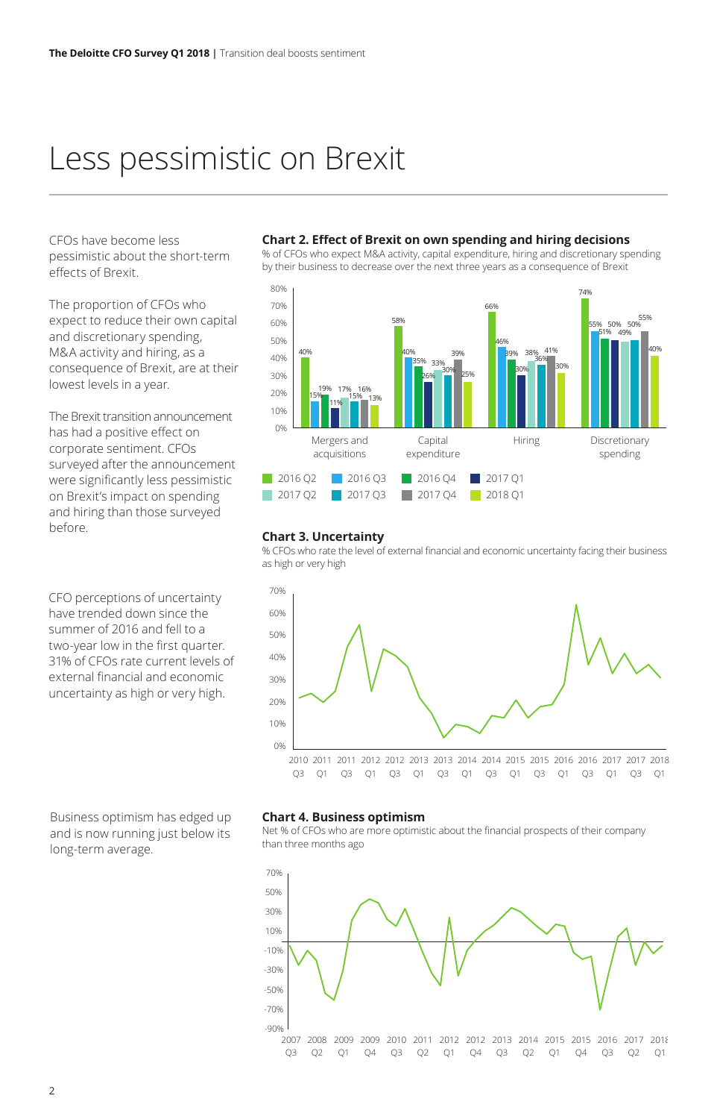### Less pessimistic on Brexit

CFOs have become less pessimistic about the short-term effects of Brexit.

The proportion of CFOs who expect to reduce their own capital and discretionary spending, M&A activity and hiring, as a consequence of Brexit, are at their lowest levels in a year.

The Brexit transition announcement has had a positive effect on corporate sentiment. CFOs surveyed after the announcement were significantly less pessimistic on Brexit's impact on spending and hiring than those surveyed before.

CFO perceptions of uncertainty have trended down since the summer of 2016 and fell to a two-year low in the first quarter. 31% of CFOs rate current levels of external financial and economic uncertainty as high or very high.

**Chart 2. Effect of Brexit on own spending and hiring decisions**

% of CFOs who expect M&A activity, capital expenditure, hiring and discretionary spending by their business to decrease over the next three years as a consequence of Brexit



#### **Chart 3. Uncertainty**

% CFOs who rate the level of external financial and economic uncertainty facing their business as high or very high



#### **Chart 4. Business optimism**

Net % of CFOs who are more optimistic about the financial prospects of their company than three months ago



Business optimism has edged up and is now running just below its long-term average.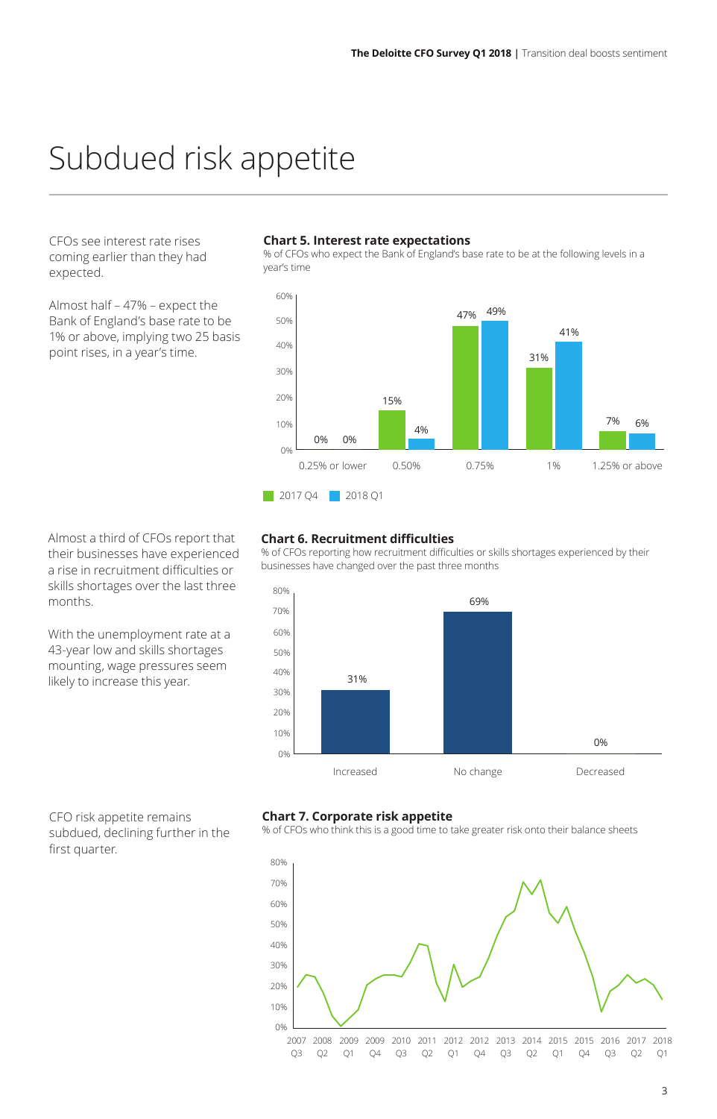### Subdued risk appetite

CFOs see interest rate rises coming earlier than they had expected.

Almost half – 47% – expect the Bank of England's base rate to be 1% or above, implying two 25 basis point rises, in a year's time.

#### **Chart 5. Interest rate expectations**

% of CFOs who expect the Bank of England's base rate to be at the following levels in a year's time



Almost a third of CFOs report that their businesses have experienced a rise in recruitment difficulties or skills shortages over the last three months.

With the unemployment rate at a 43-year low and skills shortages mounting, wage pressures seem likely to increase this year.

#### **Chart 6. Recruitment difficulties**

% of CFOs reporting how recruitment difficulties or skills shortages experienced by their businesses have changed over the past three months



CFO risk appetite remains subdued, declining further in the first quarter.

#### **Chart 7. Corporate risk appetite**

% of CFOs who think this is a good time to take greater risk onto their balance sheets

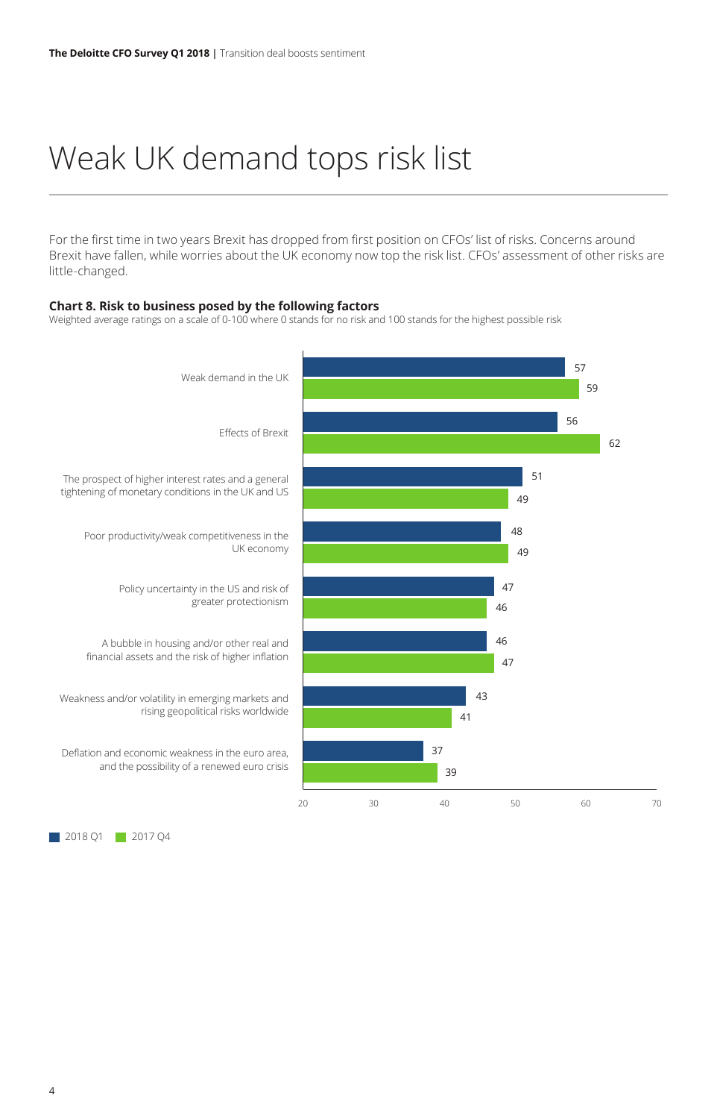## Weak UK demand tops risk list

For the first time in two years Brexit has dropped from first position on CFOs' list of risks. Concerns around Brexit have fallen, while worries about the UK economy now top the risk list. CFOs' assessment of other risks are little-changed.

#### **Chart 8. Risk to business posed by the following factors**

Weighted average ratings on a scale of 0-100 where 0 stands for no risk and 100 stands for the highest possible risk



2018 Q1 2017 Q4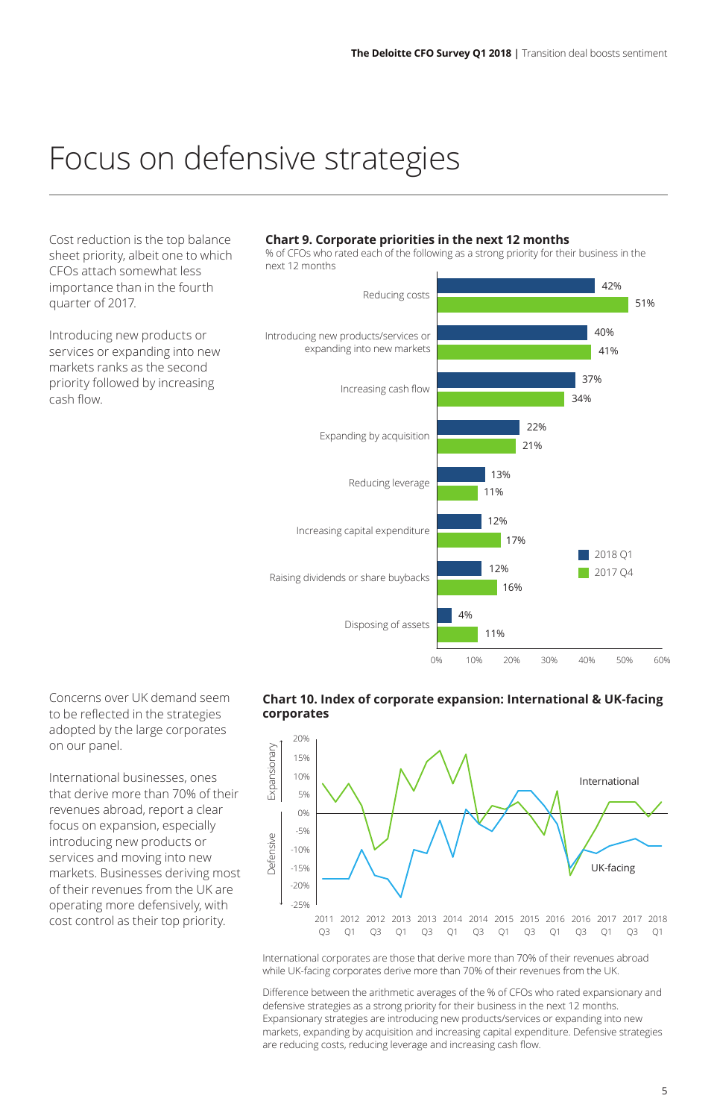### Focus on defensive strategies

Cost reduction is the top balance sheet priority, albeit one to which CFOs attach somewhat less importance than in the fourth quarter of 2017.

Introducing new products or services or expanding into new markets ranks as the second priority followed by increasing cash flow.

#### **Chart 9. Corporate priorities in the next 12 months**

% of CFOs who rated each of the following as a strong priority for their business in the next 12 months



Concerns over UK demand seem to be reflected in the strategies adopted by the large corporates on our panel.

International businesses, ones that derive more than 70% of their revenues abroad, report a clear focus on expansion, especially introducing new products or services and moving into new markets. Businesses deriving most of their revenues from the UK are operating more defensively, with cost control as their top priority.

#### **Chart 10. Index of corporate expansion: International & UK-facing corporates**



International corporates are those that derive more than 70% of their revenues abroad while UK-facing corporates derive more than 70% of their revenues from the UK.

Difference between the arithmetic averages of the % of CFOs who rated expansionary and defensive strategies as a strong priority for their business in the next 12 months. Expansionary strategies are introducing new products/services or expanding into new markets, expanding by acquisition and increasing capital expenditure. Defensive strategies are reducing costs, reducing leverage and increasing cash flow.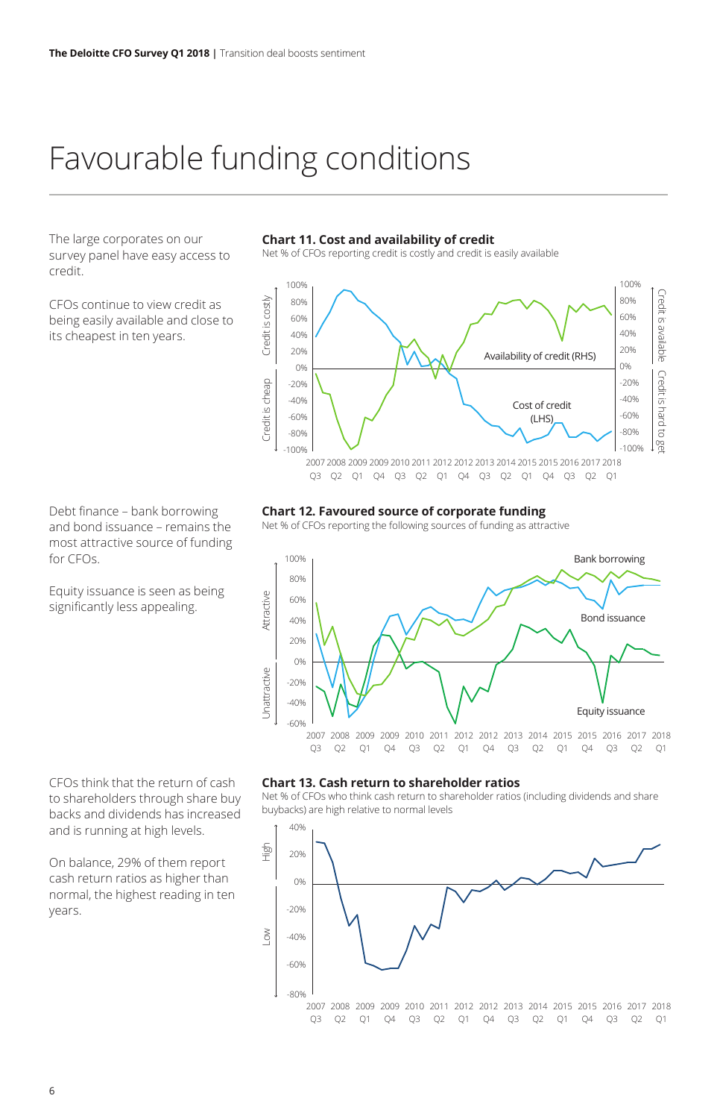### Favourable funding conditions

The large corporates on our survey panel have easy access to credit.

CFOs continue to view credit as being easily available and close to its cheapest in ten years.

**Chart 11. Cost and availability of credit** 

Net % of CFOs reporting credit is costly and credit is easily available



Debt finance – bank borrowing and bond issuance – remains the most attractive source of funding for CFOs.

Equity issuance is seen as being significantly less appealing.

CFOs think that the return of cash to shareholders through share buy backs and dividends has increased and is running at high levels.

On balance, 29% of them report cash return ratios as higher than normal, the highest reading in ten years.

#### **Chart 12. Favoured source of corporate funding**

Net % of CFOs reporting the following sources of funding as attractive



#### **Chart 13. Cash return to shareholder ratios**

Net % of CFOs who think cash return to shareholder ratios (including dividends and share buybacks) are high relative to normal levels

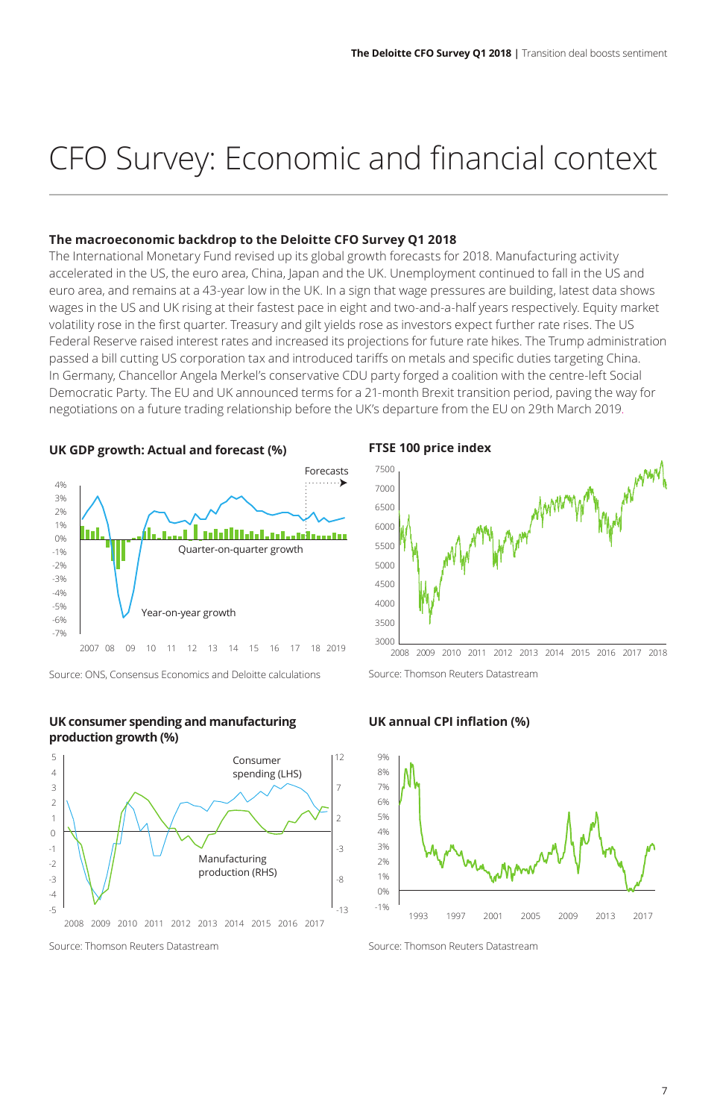# CFO Survey: Economic and financial context

#### **The macroeconomic backdrop to the Deloitte CFO Survey Q1 2018**

The International Monetary Fund revised up its global growth forecasts for 2018. Manufacturing activity accelerated in the US, the euro area, China, Japan and the UK. Unemployment continued to fall in the US and euro area, and remains at a 43-year low in the UK. In a sign that wage pressures are building, latest data shows wages in the US and UK rising at their fastest pace in eight and two-and-a-half years respectively. Equity market volatility rose in the first quarter. Treasury and gilt yields rose as investors expect further rate rises. The US Federal Reserve raised interest rates and increased its projections for future rate hikes. The Trump administration passed a bill cutting US corporation tax and introduced tariffs on metals and specific duties targeting China. In Germany, Chancellor Angela Merkel's conservative CDU party forged a coalition with the centre-left Social Democratic Party. The EU and UK announced terms for a 21-month Brexit transition period, paving the way for negotiations on a future trading relationship before the UK's departure from the EU on 29th March 2019.

#### **UK GDP growth: Actual and forecast (%)**



Source: ONS, Consensus Economics and Deloitte calculations

#### **UK consumer spending and manufacturing production growth (%)**



Source: Thomson Reuters Datastream

#### **FTSE 100 price index**



Source: Thomson Reuters Datastream

#### **UK annual CPI inflation (%)**



Source: Thomson Reuters Datastream